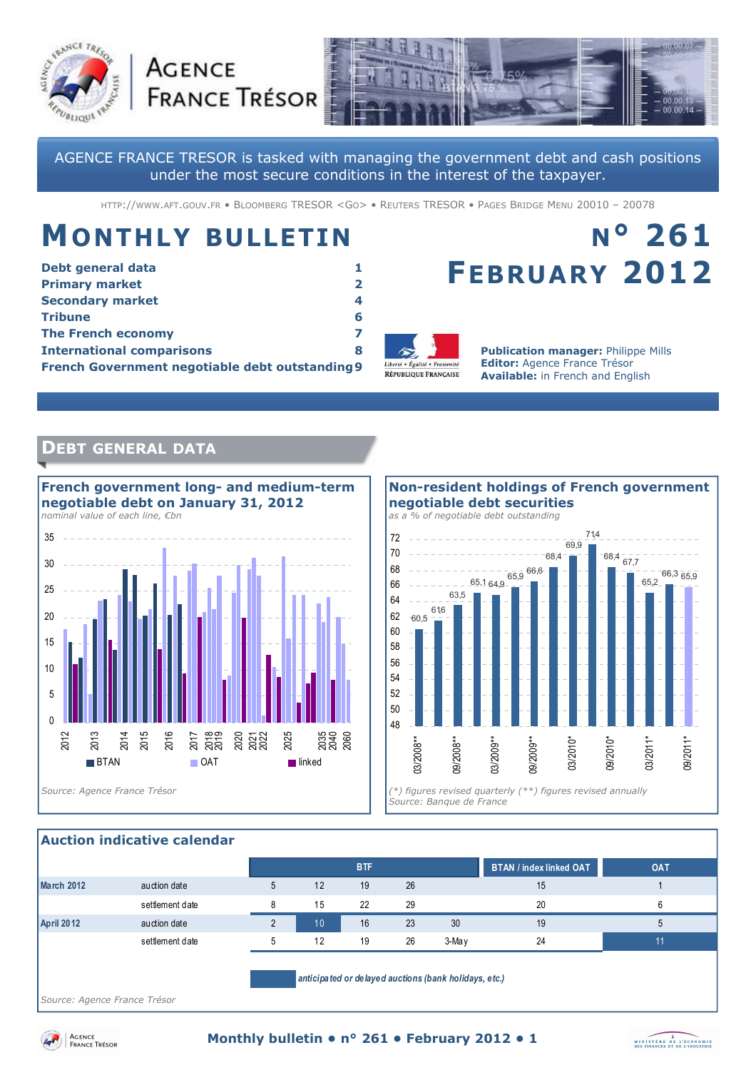



AGENCE FRANCE TRESOR is tasked with managing the government debt and cash positions under the most secure conditions in the interest of the taxpayer.

HTTP://WWW.AFT.GOUV.FR · BLOOMBERG TRESOR <GO> · REUTERS TRESOR · PAGES BRIDGE MENU 20010 - 20078

# **MONTHLY BULLETIN**

**AGENCE** 

| Debt general data                               |   |
|-------------------------------------------------|---|
| <b>Primary market</b>                           |   |
| <b>Secondary market</b>                         | 4 |
| <b>Tribune</b>                                  | 6 |
| <b>The French economy</b>                       |   |
| <b>International comparisons</b>                | 8 |
| French Government negotiable debt outstanding 9 |   |

# **N° 261 FEBRUARY 2012**



**Publication manager:** Philippe Mills **Editor:** Agence France Trésor **Available:** in French and English

# **DEBT GENERAL DATA**



## **Non-resident holdings of French government negotiable debt securities**

*as a % of negotiable debt outstanding* 



#### **Auction indicative calendar**

|                                                       |                 |   |    | <b>BTF</b> |    |       | <b>BTAN / index linked OAT</b> | <b>OAT</b> |
|-------------------------------------------------------|-----------------|---|----|------------|----|-------|--------------------------------|------------|
| March 2012                                            | auction date    | 5 | 12 | 19         | 26 |       | 15                             |            |
|                                                       | settlement date | 8 | 15 | 22         | 29 |       | 20                             | 6          |
| <b>April 2012</b>                                     | auction date    |   | 10 | 16         | 23 | 30    | 19                             | 5          |
|                                                       | settlement date | 5 | 12 | 19         | 26 | 3-May | 24                             | 11         |
| anticipated or delayed auctions (bank holidays, etc.) |                 |   |    |            |    |       |                                |            |

*Source: Agence France Trésor* 



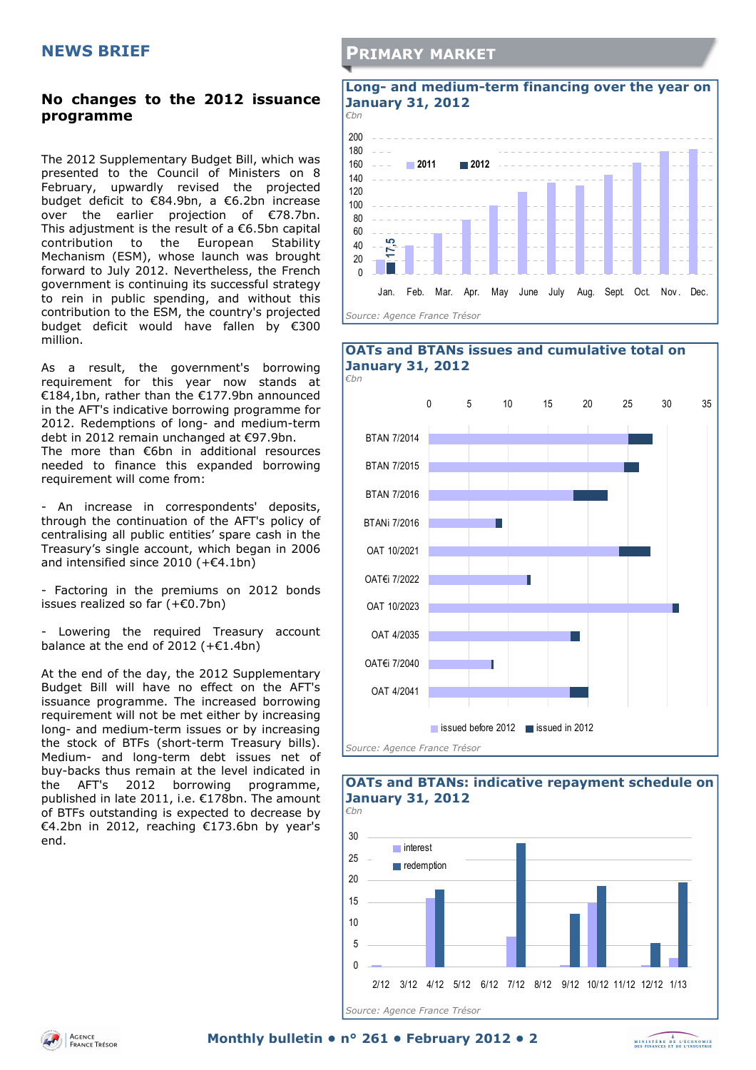### **No changes to the 2012 issuance programme**

The 2012 Supplementary Budget Bill, which was presented to the Council of Ministers on 8 February, upwardly revised the projected budget deficit to €84.9bn, a €6.2bn increase over the earlier projection of €78.7bn. This adjustment is the result of a  $€6.5$ bn capital contribution to the European Stability Mechanism (ESM), whose launch was brought forward to July 2012. Nevertheless, the French government is continuing its successful strategy to rein in public spending, and without this contribution to the ESM, the country's projected budget deficit would have fallen by €300 million.

As a result, the government's borrowing requirement for this year now stands at €184,1bn, rather than the €177.9bn announced in the AFT's indicative borrowing programme for 2012. Redemptions of long- and medium-term debt in 2012 remain unchanged at €97.9bn. The more than €6bn in additional resources needed to finance this expanded borrowing requirement will come from:

- An increase in correspondents' deposits, through the continuation of the AFT's policy of centralising all public entities' spare cash in the Treasury's single account, which began in 2006 and intensified since 2010 (+€4.1bn)

- Factoring in the premiums on 2012 bonds issues realized so far (+€0.7bn)

- Lowering the required Treasury account balance at the end of 2012 ( $+£1.4$ bn)

At the end of the day, the 2012 Supplementary Budget Bill will have no effect on the AFT's issuance programme. The increased borrowing requirement will not be met either by increasing long- and medium-term issues or by increasing the stock of BTFs (short-term Treasury bills). Medium- and long-term debt issues net of buy-backs thus remain at the level indicated in the AFT's 2012 borrowing programme, published in late 2011, i.e. €178bn. The amount of BTFs outstanding is expected to decrease by €4.2bn in 2012, reaching €173.6bn by year's end.

## **PRIMARY MARKET**









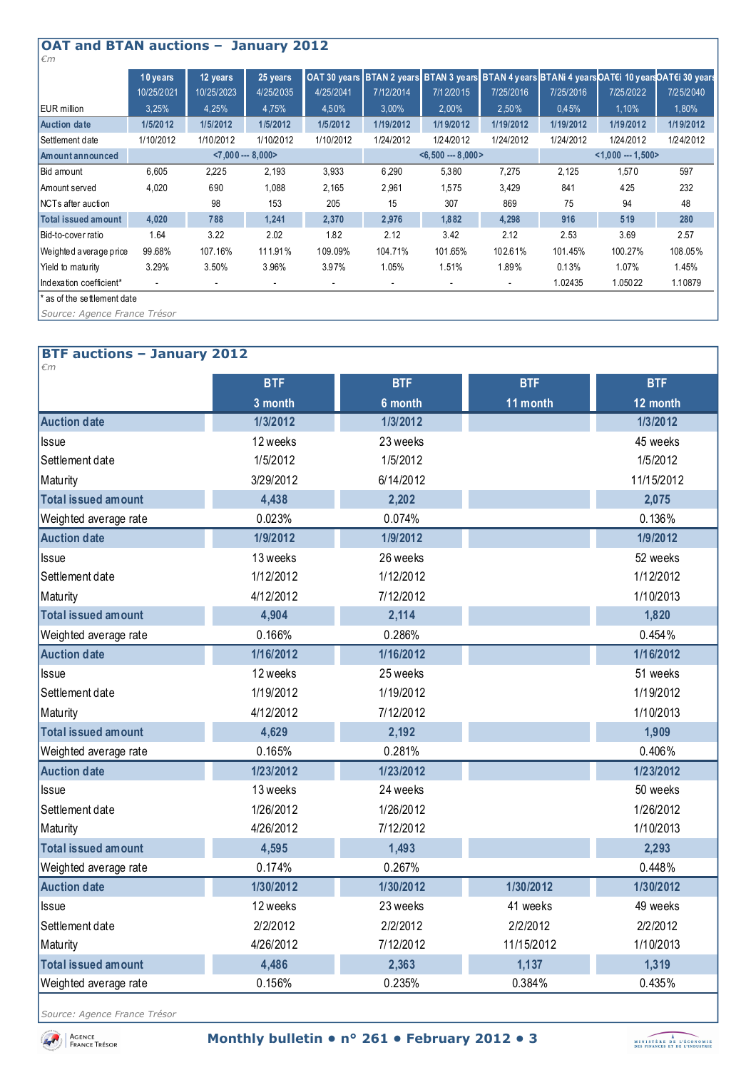| <b>OAT and BTAN auctions - January 2012</b><br>$\epsilon$ m |            |            |                      |           |                          |                          |                          |           |                                                                                                 |           |
|-------------------------------------------------------------|------------|------------|----------------------|-----------|--------------------------|--------------------------|--------------------------|-----------|-------------------------------------------------------------------------------------------------|-----------|
|                                                             | 10 years   | 12 years   | 25 years             |           |                          |                          |                          |           | OAT 30 years BTAN 2 years BTAN 3 years BTAN 4 years BTANi 4 years OAT€i 10 years OAT€i 30 years |           |
|                                                             | 10/25/2021 | 10/25/2023 | 4/25/2035            | 4/25/2041 | 7/12/2014                | 7/12/2015                | 7/25/2016                | 7/25/2016 | 7/25/2022                                                                                       | 7/25/2040 |
| EUR million                                                 | 3,25%      | 4,25%      | 4,75%                | 4,50%     | $3,00\%$                 | 2,00%                    | 2.50%                    | 0.45%     | 1.10%                                                                                           | 1,80%     |
| <b>Auction date</b>                                         | 1/5/2012   | 1/5/2012   | 1/5/2012             | 1/5/2012  | 1/19/2012                | 1/19/2012                | 1/19/2012                | 1/19/2012 | 1/19/2012                                                                                       | 1/19/2012 |
| Settlement date                                             | 1/10/2012  | 1/10/2012  | 1/10/2012            | 1/10/2012 | 1/24/2012                | 1/24/2012                | 1/24/2012                | 1/24/2012 | 1/24/2012                                                                                       | 1/24/2012 |
| Amount announced                                            |            |            | $< 7,000 -- 8,000 >$ |           |                          | $< 6,500 - 8,000 >$      |                          |           | $< 1,000 - 1,500$                                                                               |           |
| Bid amount                                                  | 6,605      | 2,225      | 2,193                | 3.933     | 6,290                    | 5,380                    | 7,275                    | 2,125     | 1,570                                                                                           | 597       |
| Amount served                                               | 4,020      | 690        | 1,088                | 2,165     | 2,961                    | 1,575                    | 3,429                    | 841       | 425                                                                                             | 232       |
| NCTs after auction                                          |            | 98         | 153                  | 205       | 15                       | 307                      | 869                      | 75        | 94                                                                                              | 48        |
| Total issued amount                                         | 4,020      | 788        | 1,241                | 2,370     | 2,976                    | 1,882                    | 4,298                    | 916       | 519                                                                                             | 280       |
| Bid-to-cover ratio                                          | 1.64       | 3.22       | 2.02                 | 1.82      | 2.12                     | 3.42                     | 2.12                     | 2.53      | 3.69                                                                                            | 2.57      |
| We ighted a verage price                                    | 99.68%     | 107.16%    | 111.91%              | 109.09%   | 104.71%                  | 101.65%                  | 102.61%                  | 101.45%   | 100.27%                                                                                         | 108.05%   |
| Yield to maturity                                           | 3.29%      | 3.50%      | 3.96%                | 3.97%     | 1.05%                    | 1.51%                    | 1.89%                    | 0.13%     | 1.07%                                                                                           | 1.45%     |
| Indexation coefficient*                                     |            |            |                      |           | $\overline{\phantom{a}}$ | $\overline{\phantom{a}}$ | $\overline{\phantom{a}}$ | 1.02435   | 1.05022                                                                                         | 1.10879   |
| ' as of the settlement date                                 |            |            |                      |           |                          |                          |                          |           |                                                                                                 |           |
| Source: Agence France Trésor                                |            |            |                      |           |                          |                          |                          |           |                                                                                                 |           |

## **BTF auctions – January 2012**

| €m                    |            |            |            |            |
|-----------------------|------------|------------|------------|------------|
|                       | <b>BTF</b> | <b>BTF</b> | <b>BTF</b> | <b>BTF</b> |
|                       | 3 month    | 6 month    | 11 month   | 12 month   |
| <b>Auction date</b>   | 1/3/2012   | 1/3/2012   |            | 1/3/2012   |
| <b>Issue</b>          | 12 weeks   | 23 weeks   |            | 45 weeks   |
| Settlement date       | 1/5/2012   | 1/5/2012   |            | 1/5/2012   |
| Maturity              | 3/29/2012  | 6/14/2012  |            | 11/15/2012 |
| Total issued amount   | 4,438      | 2,202      |            | 2,075      |
| Weighted average rate | 0.023%     | 0.074%     |            | 0.136%     |
| <b>Auction date</b>   | 1/9/2012   | 1/9/2012   |            | 1/9/2012   |
| Issue                 | 13 weeks   | 26 weeks   |            | 52 weeks   |
| Settlement date       | 1/12/2012  | 1/12/2012  |            | 1/12/2012  |
| Maturity              | 4/12/2012  | 7/12/2012  |            | 1/10/2013  |
| Total issued amount   | 4,904      | 2,114      |            | 1,820      |
| Weighted average rate | 0.166%     | 0.286%     |            | 0.454%     |
| <b>Auction date</b>   | 1/16/2012  | 1/16/2012  |            | 1/16/2012  |
| Issue                 | 12 weeks   | 25 weeks   |            | 51 weeks   |
| Settlement date       | 1/19/2012  | 1/19/2012  |            | 1/19/2012  |
| Maturity              | 4/12/2012  | 7/12/2012  |            | 1/10/2013  |
| Total issued amount   | 4,629      | 2,192      |            | 1,909      |
| Weighted average rate | 0.165%     | 0.281%     |            | 0.406%     |
| <b>Auction date</b>   | 1/23/2012  | 1/23/2012  |            | 1/23/2012  |
| <b>Issue</b>          | 13 weeks   | 24 weeks   |            | 50 weeks   |
| Settlement date       | 1/26/2012  | 1/26/2012  |            | 1/26/2012  |
| Maturity              | 4/26/2012  | 7/12/2012  |            | 1/10/2013  |
| Total issued amount   | 4,595      | 1,493      |            | 2,293      |
| Weighted average rate | 0.174%     | 0.267%     |            | 0.448%     |
| <b>Auction date</b>   | 1/30/2012  | 1/30/2012  | 1/30/2012  | 1/30/2012  |
| Issue                 | 12 weeks   | 23 weeks   | 41 weeks   | 49 weeks   |
| Settlement date       | 2/2/2012   | 2/2/2012   | 2/2/2012   | 2/2/2012   |
| Maturity              | 4/26/2012  | 7/12/2012  | 11/15/2012 | 1/10/2013  |
| Total issued amount   | 4,486      | 2,363      | 1,137      | 1,319      |
| Weighted average rate | 0.156%     | 0.235%     | 0.384%     | 0.435%     |

*Source: Agence France Trésor* 

**ACENCE**<br>FRANCE TRÉSOR

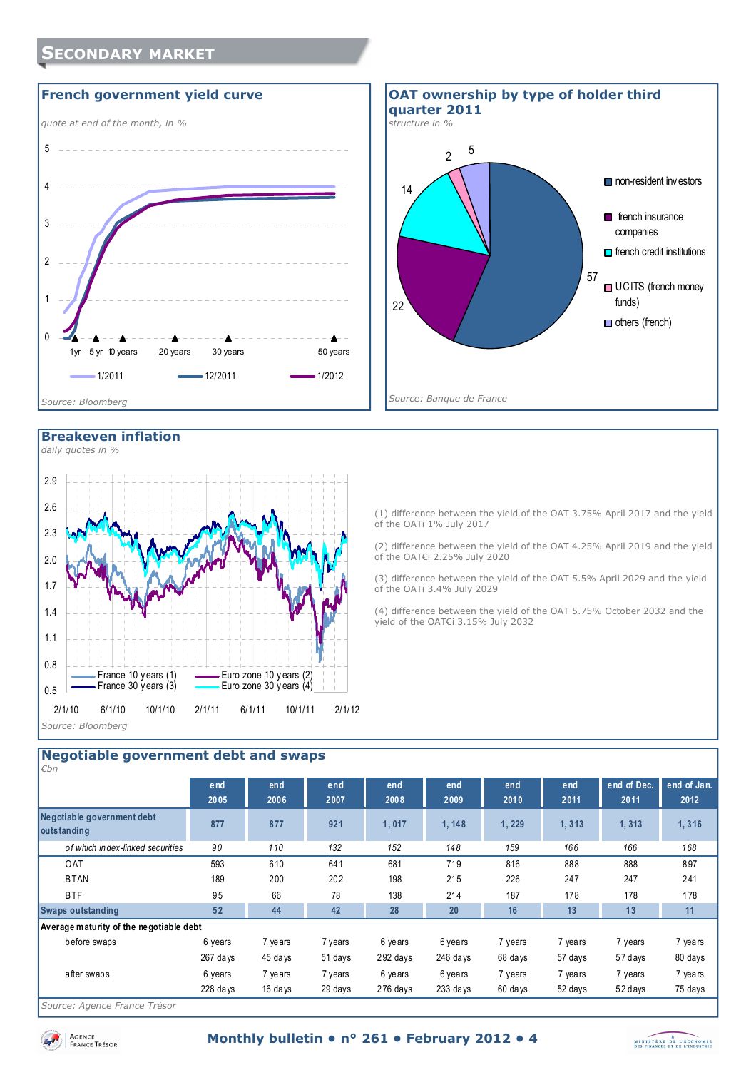







(1) difference between the yield of the OAT 3.75% April 2017 and the yield of the OATi 1% July 2017

(2) difference between the yield of the OAT 4.25% April 2019 and the yield of the OAT€i 2.25% July 2020

(3) difference between the yield of the OAT 5.5% April 2029 and the yield of the OATi 3.4% July 2029

(4) difference between the yield of the OAT 5.75% October 2032 and the yield of the OAT€i 3.15% July 2032

# **Negotiable government debt and swaps**

| $\epsilon$ bn                             |             |             |             |             |             |             |             |                     |                     |
|-------------------------------------------|-------------|-------------|-------------|-------------|-------------|-------------|-------------|---------------------|---------------------|
|                                           | end<br>2005 | end<br>2006 | end<br>2007 | end<br>2008 | end<br>2009 | end<br>2010 | end<br>2011 | end of Dec.<br>2011 | end of Jan.<br>2012 |
| Negotiable government debt<br>outstanding | 877         | 877         | 921         | 1,017       | 1, 148      | 1,229       | 1,313       | 1,313               | 1,316               |
| of which index-linked securities          | 90          | 110         | 132         | 152         | 148         | 159         | 166         | 166                 | 168                 |
| <b>OAT</b>                                | 593         | 610         | 641         | 681         | 719         | 816         | 888         | 888                 | 897                 |
| <b>BTAN</b>                               | 189         | 200         | 202         | 198         | 215         | 226         | 247         | 247                 | 241                 |
| <b>BTF</b>                                | 95          | 66          | 78          | 138         | 214         | 187         | 178         | 178                 | 178                 |
| <b>Swaps outstanding</b>                  | 52          | 44          | 42          | 28          | 20          | 16          | 13          | 13                  | 11                  |
| Average maturity of the negotiable debt   |             |             |             |             |             |             |             |                     |                     |
| before swaps                              | 6 years     | 7 years     | 7 years     | 6 years     | 6 years     | 7 years     | 7 years     | 7 years             | 7 years             |
|                                           | 267 days    | 45 days     | 51 days     | 292 days    | 246 days    | 68 days     | 57 days     | 57 days             | 80 days             |
| after swaps                               | 6 years     | 7 years     | 7 years     | 6 years     | 6 years     | 7 years     | 7 years     | 7 years             | 7 years             |
|                                           | $228$ days  | 16 days     | 29 days     | 276 days    | 233 days    | 60 days     | 52 days     | 52 days             | 75 days             |
|                                           |             |             |             |             |             |             |             |                     |                     |

*Source: Agence France Trésor* 



Agence<br>France Trésor

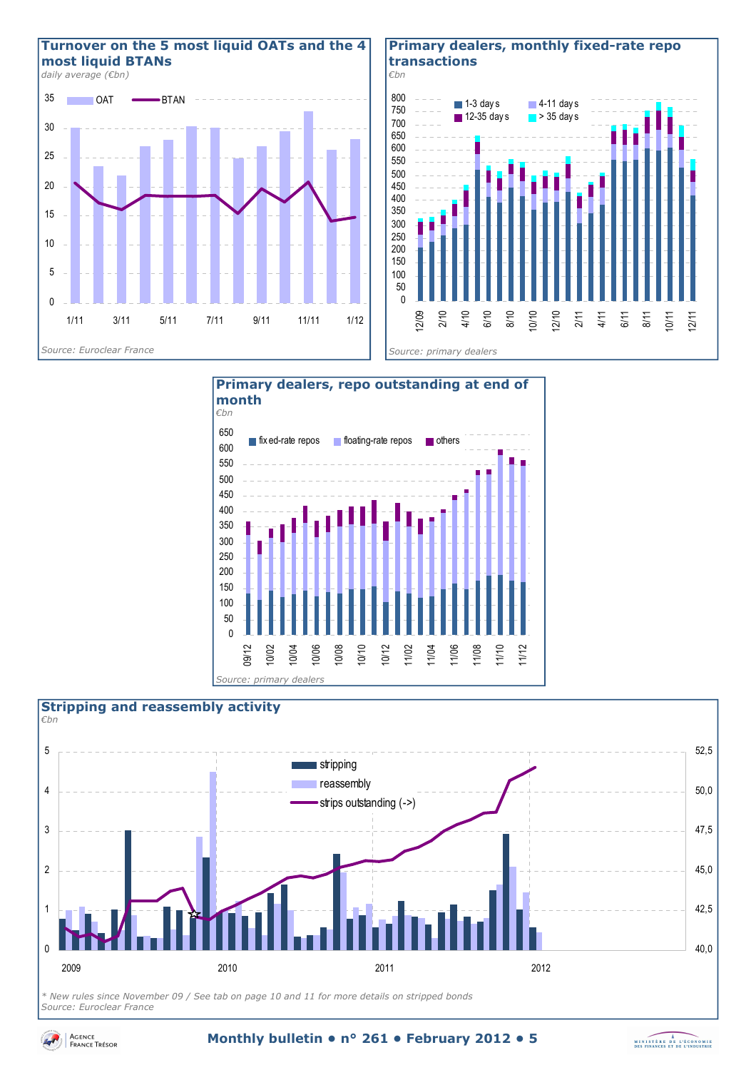

#### **Primary dealers, monthly fixed-rate repo transactions**







*\* New rules since November 09 / See tab on page 10 and 11 for more details on stripped bonds Source: Euroclear France* 



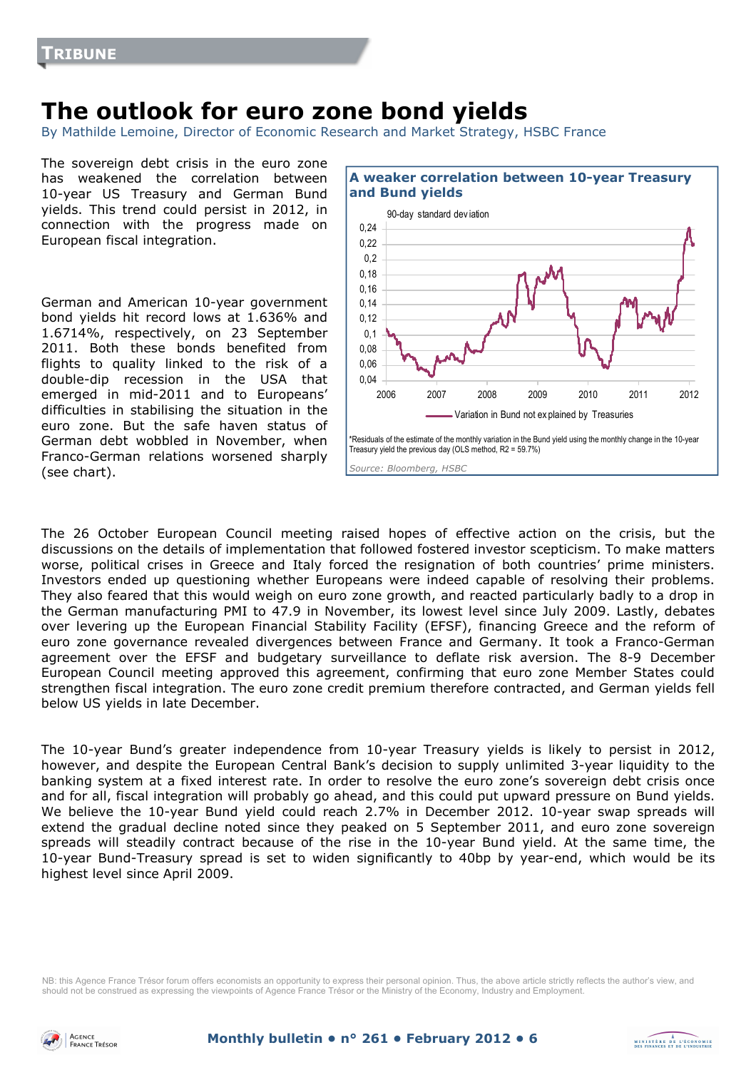# **The outlook for euro zone bond yields**

By Mathilde Lemoine, Director of Economic Research and Market Strategy, HSBC France

The sovereign debt crisis in the euro zone has weakened the correlation between 10-year US Treasury and German Bund yields. This trend could persist in 2012, in connection with the progress made on European fiscal integration.

German and American 10-year government bond yields hit record lows at 1.636% and 1.6714%, respectively, on 23 September 2011. Both these bonds benefited from flights to quality linked to the risk of a double-dip recession in the USA that emerged in mid-2011 and to Europeans' difficulties in stabilising the situation in the euro zone. But the safe haven status of German debt wobbled in November, when Franco-German relations worsened sharply (see chart).



The 26 October European Council meeting raised hopes of effective action on the crisis, but the discussions on the details of implementation that followed fostered investor scepticism. To make matters worse, political crises in Greece and Italy forced the resignation of both countries' prime ministers. Investors ended up questioning whether Europeans were indeed capable of resolving their problems. They also feared that this would weigh on euro zone growth, and reacted particularly badly to a drop in the German manufacturing PMI to 47.9 in November, its lowest level since July 2009. Lastly, debates over levering up the European Financial Stability Facility (EFSF), financing Greece and the reform of euro zone governance revealed divergences between France and Germany. It took a Franco-German agreement over the EFSF and budgetary surveillance to deflate risk aversion. The 8-9 December European Council meeting approved this agreement, confirming that euro zone Member States could strengthen fiscal integration. The euro zone credit premium therefore contracted, and German yields fell below US yields in late December.

The 10-year Bund's greater independence from 10-year Treasury yields is likely to persist in 2012, however, and despite the European Central Bank's decision to supply unlimited 3-year liquidity to the banking system at a fixed interest rate. In order to resolve the euro zone's sovereign debt crisis once and for all, fiscal integration will probably go ahead, and this could put upward pressure on Bund yields. We believe the 10-year Bund yield could reach 2.7% in December 2012. 10-year swap spreads will extend the gradual decline noted since they peaked on 5 September 2011, and euro zone sovereign spreads will steadily contract because of the rise in the 10-year Bund yield. At the same time, the 10-year Bund-Treasury spread is set to widen significantly to 40bp by year-end, which would be its highest level since April 2009.

NB: this Agence France Trésor forum offers economists an opportunity to express their personal opinion. Thus, the above article strictly reflects the author's view, and should not be construed as expressing the viewpoints of Agence France Trésor or the Ministry of the Economy, Industry and Employment.



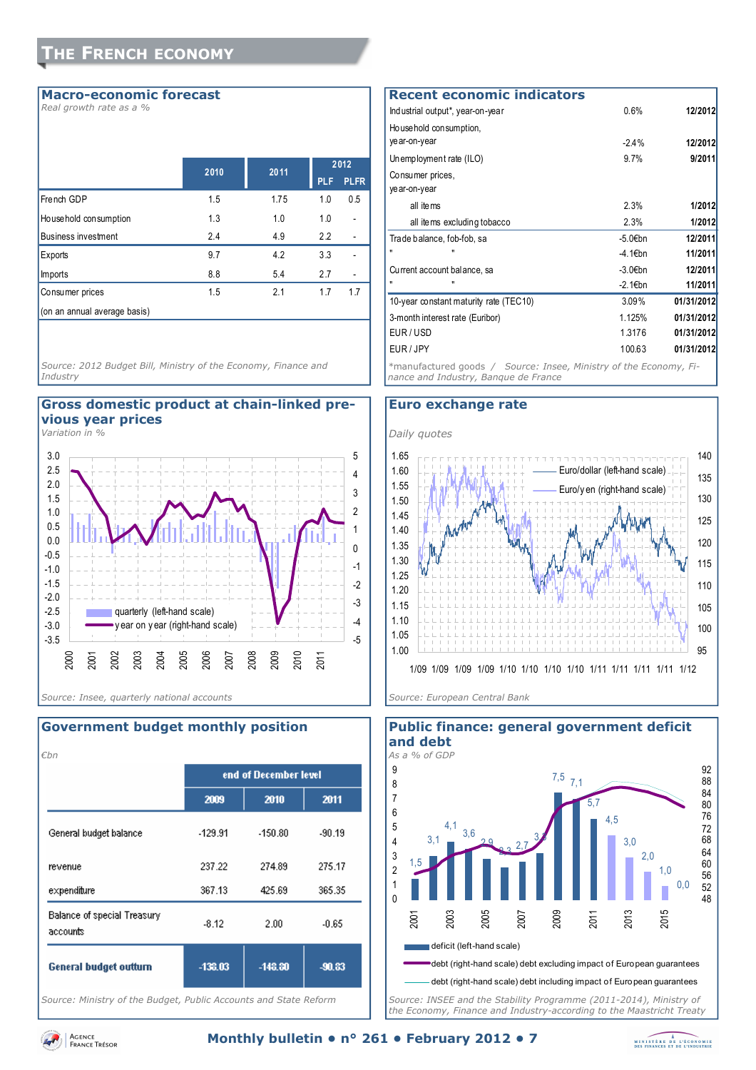#### **Macro-economic forecast**

*Real growth rate as a %*

|                              | 2010 | 2011 |            | 2012        |
|------------------------------|------|------|------------|-------------|
|                              |      |      | <b>PLF</b> | <b>PLFR</b> |
| French GDP                   | 1.5  | 1.75 | 1.0        | 0.5         |
| Household consumption        | 1.3  | 1.0  | 1.0        |             |
| <b>Business investment</b>   | 2.4  | 4.9  | 2.2        |             |
| Exports                      | 9.7  | 4.2  | 3.3        |             |
| <b>Imports</b>               | 8.8  | 5.4  | 2.7        |             |
| Consumer prices              | 1.5  | 2.1  | 1.7        | 1.7         |
| (on an annual average basis) |      |      |            |             |

*Source: 2012 Budget Bill, Ministry of the Economy, Finance and Industry* 

#### **Gross domestic product at chain-linked previous year prices**

*Variation in %*



#### *€bn*  end of December level 2009 2010 2011 General budget balance  $-129.91$  $-150.80$ .90.19 revenue 237.22 274.89 275.17 expenditure 367.13 425.69 365.35 Balance of special Treasury  $-8.12$ 2.00  $-0.65$ accounts -138.03  $-148.80$ -90.83 **General budget outturn**

**Government budget monthly position** 

*Source: Ministry of the Budget, Public Accounts and State Reform* 

#### Industrial output\*, year-on-year 0.6% **12/2012** Household consumption, year-on-year -2.4% **12/2012** Unemployment rate (ILO) 9.7% **9/2011** Consumer prices, year-on-year all items 2.3% **1/2012** all items excluding tobacco 2.3% **1/2012** Trade balance, fob-fob, sa **12/2011** -5.0€bn **12/2011** " " -4.1€bn **11/2011** Current account balance, sa **12/2011** -3.0€bn **12/2011** " " -2.1€bn **11/2011** 10-year constant maturity rate (TEC10) 3.09% **01/31/2012** 3-month interest rate (Euribor) 1.125% **01/31/2012** EUR / USD 1.3176 **01/31/2012** EUR / JPY 100.63 **01/31/2012 Recent economic indicators** *\**manufactured goods */ Source: Insee, Ministry of the Economy, Fi-*

*nance and Industry, Banque de France* 

#### **Euro exchange rate**





*Source: INSEE and the Stability Programme (2011-2014), Ministry of the Economy, Finance and Industry-according to the Maastricht Treaty* 

# **Public finance: general government deficit**

AGENCE **FRANCE TRÉSOR** 

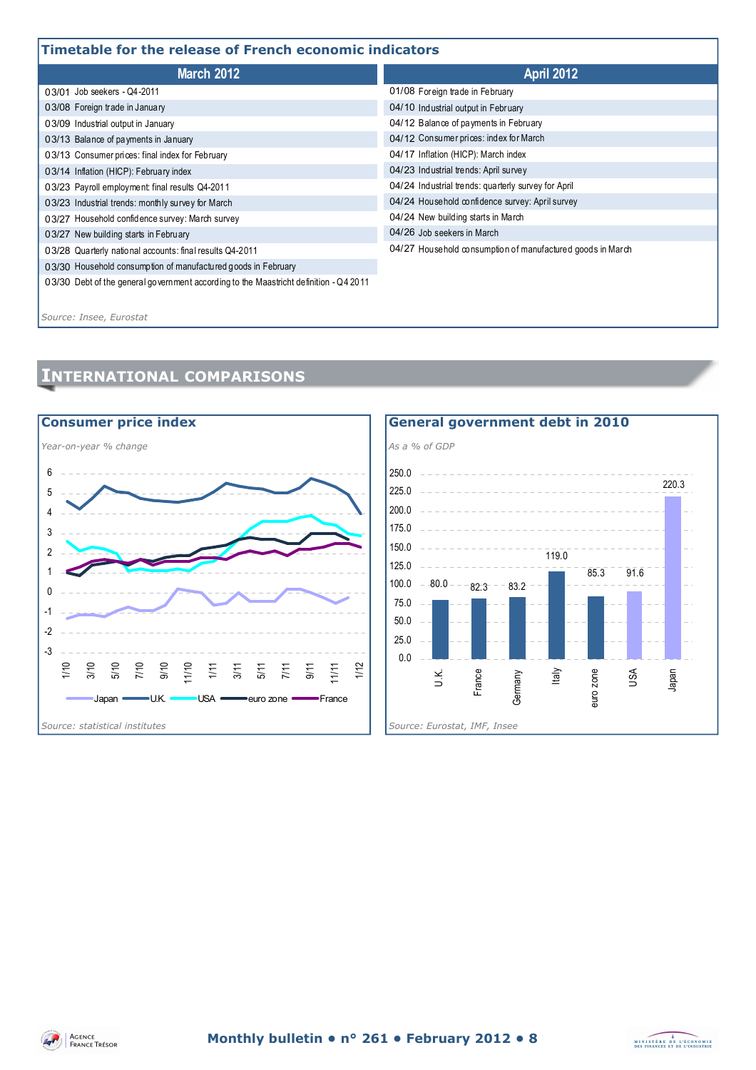# **Timetable for the release of French economic indicators**

| I IIIIGLADIG IVI LIIG TGIGASG VI TTGIILII GLUIIUIIIIL IIIUILALUI S                    |                                                            |  |  |  |
|---------------------------------------------------------------------------------------|------------------------------------------------------------|--|--|--|
| <b>March 2012</b>                                                                     | <b>April 2012</b>                                          |  |  |  |
| 03/01 Job seekers - Q4-2011                                                           | 01/08 Foreign trade in February                            |  |  |  |
| 03/08 Foreign trade in January                                                        | 04/10 Industrial output in February                        |  |  |  |
| 03/09 Industrial output in January                                                    | 04/12 Balance of payments in February                      |  |  |  |
| 03/13 Balance of payments in January                                                  | 04/12 Consumer prices: index for March                     |  |  |  |
| 03/13 Consumer prices: final index for February                                       | 04/17 Inflation (HICP): March index                        |  |  |  |
| 03/14 Inflation (HICP): February index                                                | 04/23 Industrial trends: April survey                      |  |  |  |
| 03/23 Payroll employment: final results Q4-2011                                       | 04/24 Industrial trends: quarterly survey for April        |  |  |  |
| 03/23 Industrial trends: monthly survey for March                                     | 04/24 Household confidence survey: April survey            |  |  |  |
| 03/27 Household confidence survey: March survey                                       | 04/24 New building starts in March                         |  |  |  |
| 03/27 New building starts in February                                                 | 04/26 Job seekers in March                                 |  |  |  |
| 03/28 Quarterly national accounts: final results Q4-2011                              | 04/27 Household consumption of manufactured goods in March |  |  |  |
| 03/30 Household consumption of manufactured goods in February                         |                                                            |  |  |  |
| 03/30 Debt of the general government according to the Maastricht definition - Q4 2011 |                                                            |  |  |  |

*Source: Insee, Eurostat*

# **INTERNATIONAL COMPARISONS**



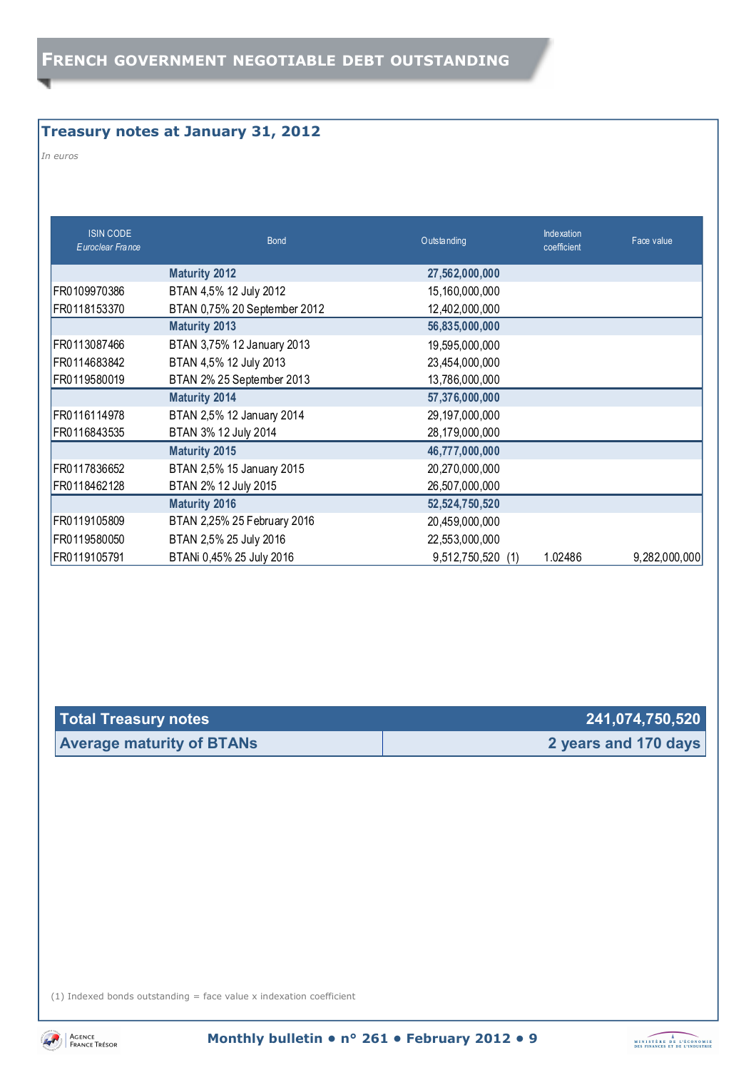# **Treasury notes at January 31, 2012**

*In euros* 

| <b>ISIN CODE</b><br>Euroclear France | <b>Bond</b>                  | Outstanding       | Indexation<br>coefficient | Face value    |
|--------------------------------------|------------------------------|-------------------|---------------------------|---------------|
|                                      | <b>Maturity 2012</b>         | 27,562,000,000    |                           |               |
| FR0109970386                         | BTAN 4,5% 12 July 2012       | 15,160,000,000    |                           |               |
| FR0118153370                         | BTAN 0,75% 20 September 2012 | 12,402,000,000    |                           |               |
|                                      | <b>Maturity 2013</b>         | 56,835,000,000    |                           |               |
| FR0113087466                         | BTAN 3,75% 12 January 2013   | 19,595,000,000    |                           |               |
| FR0114683842                         | BTAN 4,5% 12 July 2013       | 23,454,000,000    |                           |               |
| FR0119580019                         | BTAN 2% 25 September 2013    | 13,786,000,000    |                           |               |
|                                      | <b>Maturity 2014</b>         | 57,376,000,000    |                           |               |
| FR0116114978                         | BTAN 2,5% 12 January 2014    | 29,197,000,000    |                           |               |
| FR0116843535                         | BTAN 3% 12 July 2014         | 28,179,000,000    |                           |               |
|                                      | <b>Maturity 2015</b>         | 46,777,000,000    |                           |               |
| FR0117836652                         | BTAN 2,5% 15 January 2015    | 20,270,000,000    |                           |               |
| FR0118462128                         | BTAN 2% 12 July 2015         | 26,507,000,000    |                           |               |
|                                      | <b>Maturity 2016</b>         | 52,524,750,520    |                           |               |
| FR0119105809                         | BTAN 2,25% 25 February 2016  | 20,459,000,000    |                           |               |
| FR0119580050                         | BTAN 2,5% 25 July 2016       | 22,553,000,000    |                           |               |
| FR0119105791                         | BTANi 0,45% 25 July 2016     | 9,512,750,520 (1) | 1.02486                   | 9,282,000,000 |

| Total Treasury notes             | 241,074,750,520      |
|----------------------------------|----------------------|
| <b>Average maturity of BTANs</b> | 2 years and 170 days |

(1) Indexed bonds outstanding  $=$  face value x indexation coefficient



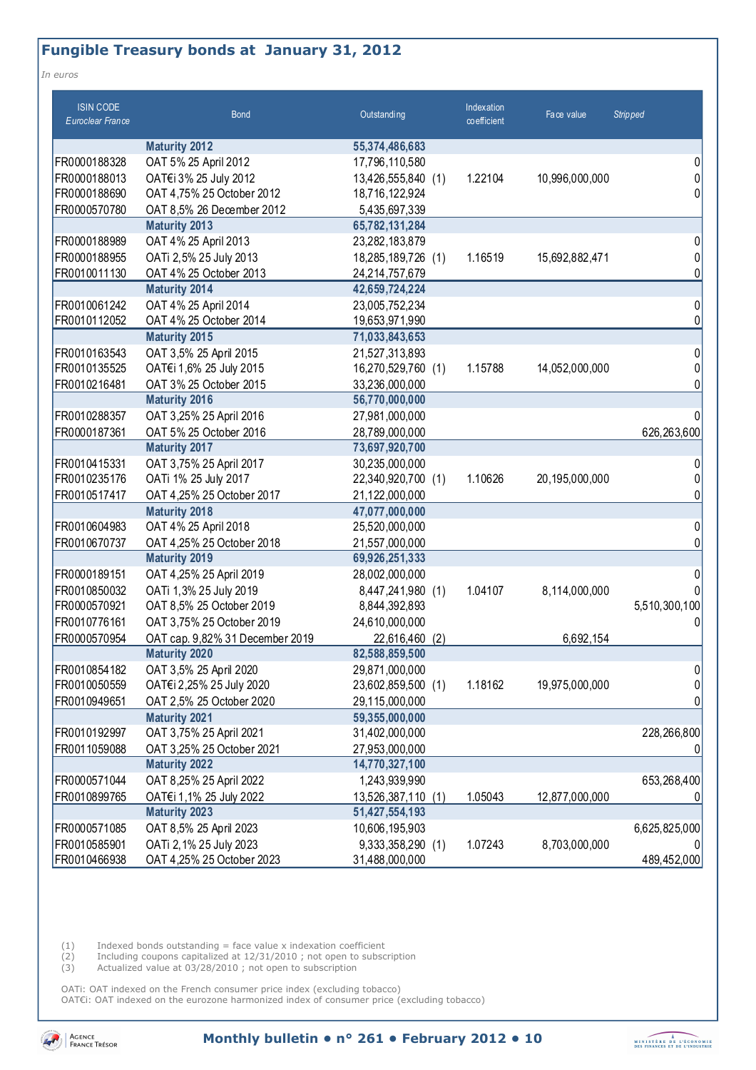# **Fungible Treasury bonds at January 31, 2012**

*In euros* 

| <b>ISIN CODE</b><br>Euroclear France | <b>Bond</b>                     | Outstanding        | Indexation<br>co efficient | Face value     | <b>Stripped</b> |
|--------------------------------------|---------------------------------|--------------------|----------------------------|----------------|-----------------|
|                                      | <b>Maturity 2012</b>            | 55,374,486,683     |                            |                |                 |
| FR0000188328                         | OAT 5% 25 April 2012            | 17,796,110,580     |                            |                | 0               |
| FR0000188013                         | OAT€i 3% 25 July 2012           | 13,426,555,840 (1) | 1.22104                    | 10,996,000,000 | 0               |
| FR0000188690                         | OAT 4,75% 25 October 2012       | 18,716,122,924     |                            |                | 0               |
| FR0000570780                         | OAT 8,5% 26 December 2012       | 5,435,697,339      |                            |                |                 |
|                                      | <b>Maturity 2013</b>            | 65,782,131,284     |                            |                |                 |
| FR0000188989                         | OAT 4% 25 April 2013            | 23,282,183,879     |                            |                | 0               |
| FR0000188955                         | OATi 2,5% 25 July 2013          | 18,285,189,726 (1) | 1.16519                    | 15,692,882,471 | 0               |
| FR0010011130                         | OAT 4% 25 October 2013          | 24,214,757,679     |                            |                | 0               |
|                                      | <b>Maturity 2014</b>            | 42,659,724,224     |                            |                |                 |
| FR0010061242                         | OAT 4% 25 April 2014            | 23,005,752,234     |                            |                | 0               |
| FR0010112052                         | OAT 4% 25 October 2014          | 19,653,971,990     |                            |                | 0               |
|                                      | <b>Maturity 2015</b>            | 71,033,843,653     |                            |                |                 |
| FR0010163543                         | OAT 3,5% 25 April 2015          | 21,527,313,893     |                            |                | 0               |
| FR0010135525                         | OAT€i 1,6% 25 July 2015         | 16,270,529,760 (1) | 1.15788                    | 14,052,000,000 | 0               |
| FR0010216481                         | OAT 3% 25 October 2015          | 33,236,000,000     |                            |                | 0               |
|                                      | <b>Maturity 2016</b>            | 56,770,000,000     |                            |                |                 |
| FR0010288357                         | OAT 3,25% 25 April 2016         | 27,981,000,000     |                            |                | 0               |
| FR0000187361                         | OAT 5% 25 October 2016          | 28,789,000,000     |                            |                | 626,263,600     |
|                                      | <b>Maturity 2017</b>            | 73,697,920,700     |                            |                |                 |
| FR0010415331                         | OAT 3,75% 25 April 2017         | 30,235,000,000     |                            |                | 0               |
| FR0010235176                         | OATi 1% 25 July 2017            | 22,340,920,700 (1) | 1.10626                    | 20,195,000,000 | 0               |
| FR0010517417                         | OAT 4,25% 25 October 2017       | 21,122,000,000     |                            |                | 0               |
|                                      | <b>Maturity 2018</b>            | 47,077,000,000     |                            |                |                 |
| FR0010604983                         | OAT 4% 25 April 2018            | 25,520,000,000     |                            |                | 0               |
| FR0010670737                         | OAT 4,25% 25 October 2018       | 21,557,000,000     |                            |                | 0               |
|                                      | <b>Maturity 2019</b>            | 69,926,251,333     |                            |                |                 |
| FR0000189151                         | OAT 4,25% 25 April 2019         | 28,002,000,000     |                            |                | 0               |
| FR0010850032                         | OATi 1,3% 25 July 2019          | 8,447,241,980 (1)  | 1.04107                    | 8,114,000,000  | 0               |
| FR0000570921                         | OAT 8,5% 25 October 2019        | 8,844,392,893      |                            |                | 5,510,300,100   |
| FR0010776161                         | OAT 3,75% 25 October 2019       | 24,610,000,000     |                            |                | 0               |
| FR0000570954                         | OAT cap. 9,82% 31 December 2019 | 22,616,460<br>(2)  |                            | 6,692,154      |                 |
|                                      | <b>Maturity 2020</b>            | 82,588,859,500     |                            |                |                 |
| FR0010854182                         | OAT 3,5% 25 April 2020          | 29,871,000,000     |                            |                | 0               |
| FR0010050559                         | OAT€i 2,25% 25 July 2020        | 23,602,859,500 (1) | 1.18162                    | 19,975,000,000 | 0               |
| FR0010949651                         | OAT 2,5% 25 October 2020        | 29,115,000,000     |                            |                | 0               |
|                                      | <b>Maturity 2021</b>            | 59,355,000,000     |                            |                |                 |
| FR0010192997                         | OAT 3,75% 25 April 2021         | 31,402,000,000     |                            |                | 228,266,800     |
| FR0011059088                         | OAT 3,25% 25 October 2021       | 27,953,000,000     |                            |                | 0               |
|                                      | <b>Maturity 2022</b>            | 14,770,327,100     |                            |                |                 |
| FR0000571044                         | OAT 8,25% 25 April 2022         | 1,243,939,990      |                            |                | 653,268,400     |
| FR0010899765                         | OAT€i 1,1% 25 July 2022         | 13,526,387,110 (1) | 1.05043                    | 12,877,000,000 | 0               |
|                                      | <b>Maturity 2023</b>            | 51,427,554,193     |                            |                |                 |
| FR0000571085                         | OAT 8,5% 25 April 2023          | 10,606,195,903     |                            |                | 6,625,825,000   |
| FR0010585901                         | OATi 2, 1% 25 July 2023         | 9,333,358,290 (1)  | 1.07243                    | 8,703,000,000  |                 |
| FR0010466938                         | OAT 4,25% 25 October 2023       | 31,488,000,000     |                            |                | 489,452,000     |

 $(1)$  Indexed bonds outstanding = face value x indexation coefficient

(2) Including coupons capitalized at 12/31/2010 ; not open to subscription

(3) Actualized value at 03/28/2010 ; not open to subscription

OATi: OAT indexed on the French consumer price index (excluding tobacco) OAT€i: OAT indexed on the eurozone harmonized index of consumer price (excluding tobacco)

Agence<br>France Trésor

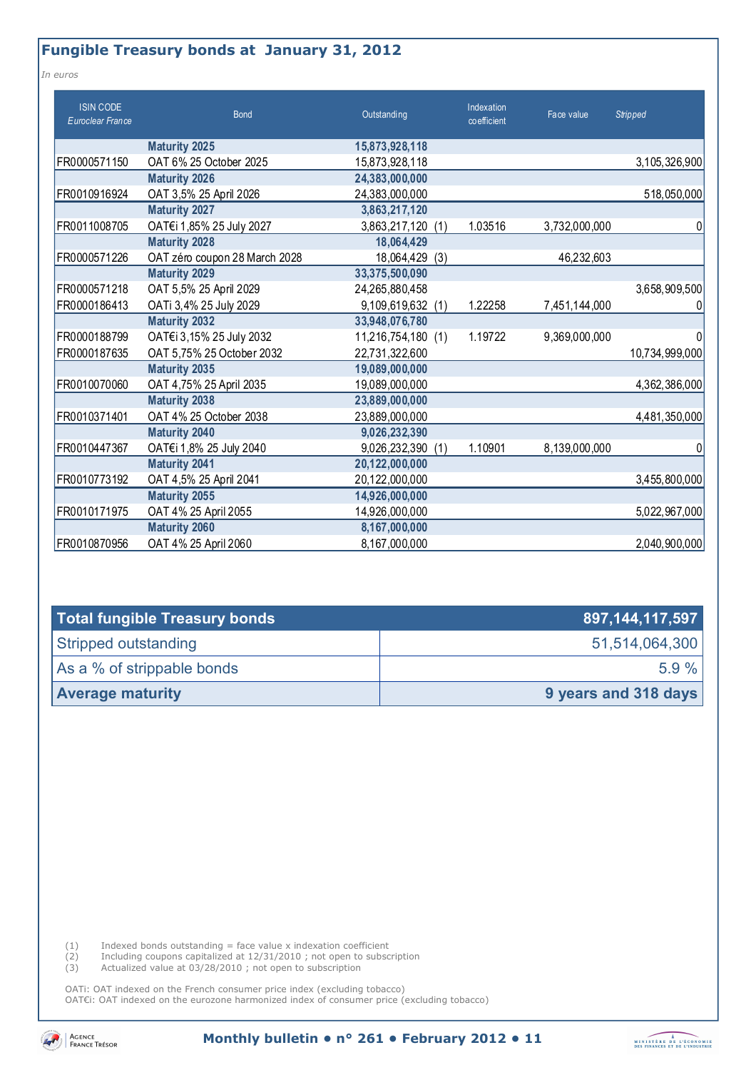# **Fungible Treasury bonds at January 31, 2012**

*In euros* 

| <b>ISIN CODE</b><br>Euroclear France | <b>Bond</b>                   | Outstanding          | Indexation<br>coefficient | Face value    | <b>Stripped</b> |
|--------------------------------------|-------------------------------|----------------------|---------------------------|---------------|-----------------|
|                                      | <b>Maturity 2025</b>          | 15,873,928,118       |                           |               |                 |
| FR0000571150                         | OAT 6% 25 October 2025        | 15,873,928,118       |                           |               | 3,105,326,900   |
|                                      | <b>Maturity 2026</b>          | 24,383,000,000       |                           |               |                 |
| FR0010916924                         | OAT 3,5% 25 April 2026        | 24,383,000,000       |                           |               | 518,050,000     |
|                                      | <b>Maturity 2027</b>          | 3,863,217,120        |                           |               |                 |
| FR0011008705                         | OAT€i 1,85% 25 July 2027      | 3,863,217,120 (1)    | 1.03516                   | 3,732,000,000 | 0               |
|                                      | <b>Maturity 2028</b>          | 18,064,429           |                           |               |                 |
| FR0000571226                         | OAT zéro coupon 28 March 2028 | 18,064,429<br>(3)    |                           | 46,232,603    |                 |
|                                      | <b>Maturity 2029</b>          | 33,375,500,090       |                           |               |                 |
| FR0000571218                         | OAT 5,5% 25 April 2029        | 24,265,880,458       |                           |               | 3,658,909,500   |
| FR0000186413                         | OATi 3,4% 25 July 2029        | 9,109,619,632 (1)    | 1.22258                   | 7,451,144,000 |                 |
|                                      | <b>Maturity 2032</b>          | 33,948,076,780       |                           |               |                 |
| FR0000188799                         | OAT€i 3,15% 25 July 2032      | 11,216,754,180 (1)   | 1.19722                   | 9,369,000,000 | <sup>0</sup>    |
| FR0000187635                         | OAT 5,75% 25 October 2032     | 22,731,322,600       |                           |               | 10,734,999,000  |
|                                      | <b>Maturity 2035</b>          | 19,089,000,000       |                           |               |                 |
| FR0010070060                         | OAT 4,75% 25 April 2035       | 19,089,000,000       |                           |               | 4,362,386,000   |
|                                      | <b>Maturity 2038</b>          | 23,889,000,000       |                           |               |                 |
| FR0010371401                         | OAT 4% 25 October 2038        | 23,889,000,000       |                           |               | 4,481,350,000   |
|                                      | <b>Maturity 2040</b>          | 9,026,232,390        |                           |               |                 |
| FR0010447367                         | OAT€i 1,8% 25 July 2040       | 9,026,232,390<br>(1) | 1.10901                   | 8,139,000,000 | 0               |
|                                      | <b>Maturity 2041</b>          | 20,122,000,000       |                           |               |                 |
| FR0010773192                         | OAT 4,5% 25 April 2041        | 20,122,000,000       |                           |               | 3,455,800,000   |
|                                      | <b>Maturity 2055</b>          | 14,926,000,000       |                           |               |                 |
| FR0010171975                         | OAT 4% 25 April 2055          | 14,926,000,000       |                           |               | 5,022,967,000   |
|                                      | <b>Maturity 2060</b>          | 8,167,000,000        |                           |               |                 |
| FR0010870956                         | OAT 4% 25 April 2060          | 8,167,000,000        |                           |               | 2,040,900,000   |

| Total fungible Treasury bonds | 897, 144, 117, 597   |
|-------------------------------|----------------------|
| Stripped outstanding          | 51,514,064,300       |
| As a % of strippable bonds    | $5.9 \%$             |
| <b>Average maturity</b>       | 9 years and 318 days |

 $(1)$  Indexed bonds outstanding = face value x indexation coefficient

(2) Including coupons capitalized at 12/31/2010 ; not open to subscription

(3) Actualized value at 03/28/2010 ; not open to subscription

OATi: OAT indexed on the French consumer price index (excluding tobacco) OAT€i: OAT indexed on the eurozone harmonized index of consumer price (excluding tobacco)